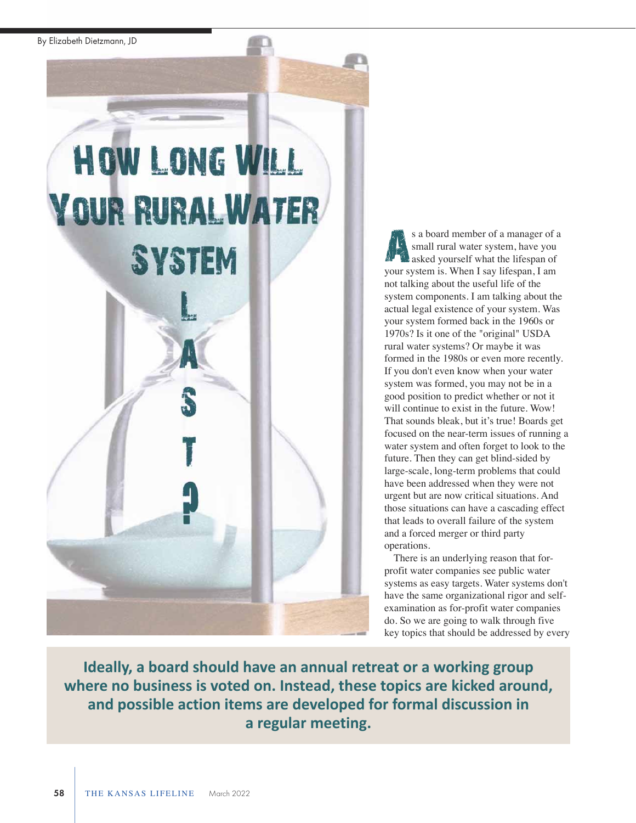By Elizabeth Dietzmann, JD

# **HOW LONG WILL YOUR RURAL WATER SYSTEM**

s a board member of a manager of a small rural water system, have you asked yourself what the lifespan of your system is. When I say lifespan, I am not talking about the useful life of the system components. I am talking about the actual legal existence of your system. Was your system formed back in the 1960s or 1970s? Is it one of the "original" USDA rural water systems? Or maybe it was formed in the 1980s or even more recently. If you don't even know when your water system was formed, you may not be in a good position to predict whether or not it will continue to exist in the future. Wow! That sounds bleak, but it's true! Boards get focused on the near-term issues of running a water system and often forget to look to the future. Then they can get blind-sided by large-scale, long-term problems that could have been addressed when they were not urgent but are now critical situations. And those situations can have a cascading effect that leads to overall failure of the system and a forced merger or third party operations. A.

There is an underlying reason that forprofit water companies see public water systems as easy targets. Water systems don't have the same organizational rigor and selfexamination as for-profit water companies do. So we are going to walk through five key topics that should be addressed by every

**Ideally, a board should have an annual retreat or a working group where no business is voted on. Instead, these topics are kicked around, and possible action items are developed for formal discussion in a regular meeting.**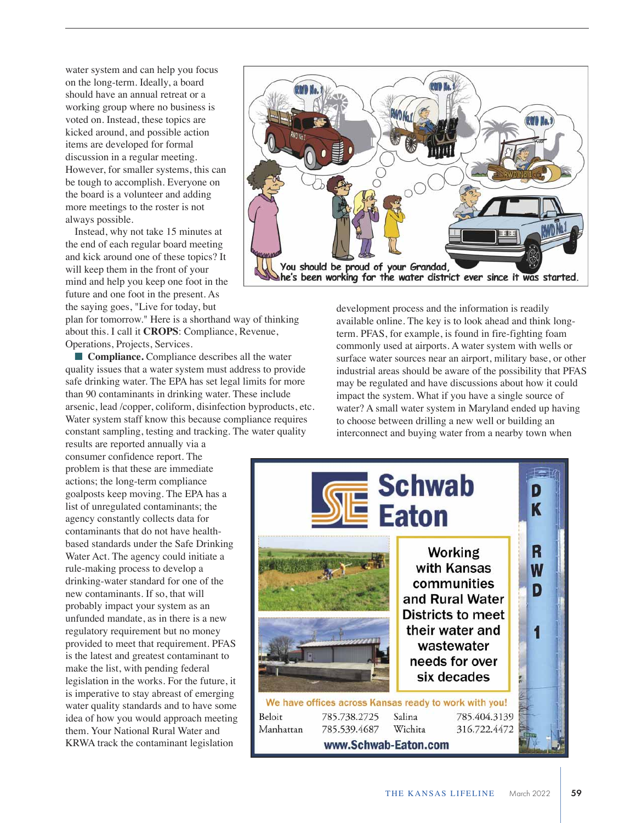water system and can help you focus on the long-term. Ideally, a board should have an annual retreat or a working group where no business is voted on. Instead, these topics are kicked around, and possible action items are developed for formal discussion in a regular meeting. However, for smaller systems, this can be tough to accomplish. Everyone on the board is a volunteer and adding more meetings to the roster is not always possible.

Instead, why not take 15 minutes at the end of each regular board meeting and kick around one of these topics? It will keep them in the front of your mind and help you keep one foot in the future and one foot in the present. As the saying goes, "Live for today, but

plan for tomorrow." Here is a shorthand way of thinking about this. I call it **CROPS**: Compliance, Revenue, Operations, Projects, Services.

■ **Compliance.** Compliance describes all the water quality issues that a water system must address to provide safe drinking water. The EPA has set legal limits for more than 90 contaminants in drinking water. These include arsenic, lead /copper, coliform, disinfection byproducts, etc. Water system staff know this because compliance requires constant sampling, testing and tracking. The water quality

results are reported annually via a consumer confidence report. The problem is that these are immediate actions; the long-term compliance goalposts keep moving. The EPA has a list of unregulated contaminants; the agency constantly collects data for contaminants that do not have healthbased standards under the Safe Drinking Water Act. The agency could initiate a rule-making process to develop a drinking-water standard for one of the new contaminants. If so, that will probably impact your system as an unfunded mandate, as in there is a new regulatory requirement but no money provided to meet that requirement. PFAS is the latest and greatest contaminant to make the list, with pending federal legislation in the works. For the future, it is imperative to stay abreast of emerging water quality standards and to have some idea of how you would approach meeting them. Your National Rural Water and KRWA track the contaminant legislation



development process and the information is readily available online. The key is to look ahead and think longterm. PFAS, for example, is found in fire-fighting foam commonly used at airports. A water system with wells or surface water sources near an airport, military base, or other industrial areas should be aware of the possibility that PFAS may be regulated and have discussions about how it could impact the system. What if you have a single source of water? A small water system in Maryland ended up having to choose between drilling a new well or building an interconnect and buying water from a nearby town when

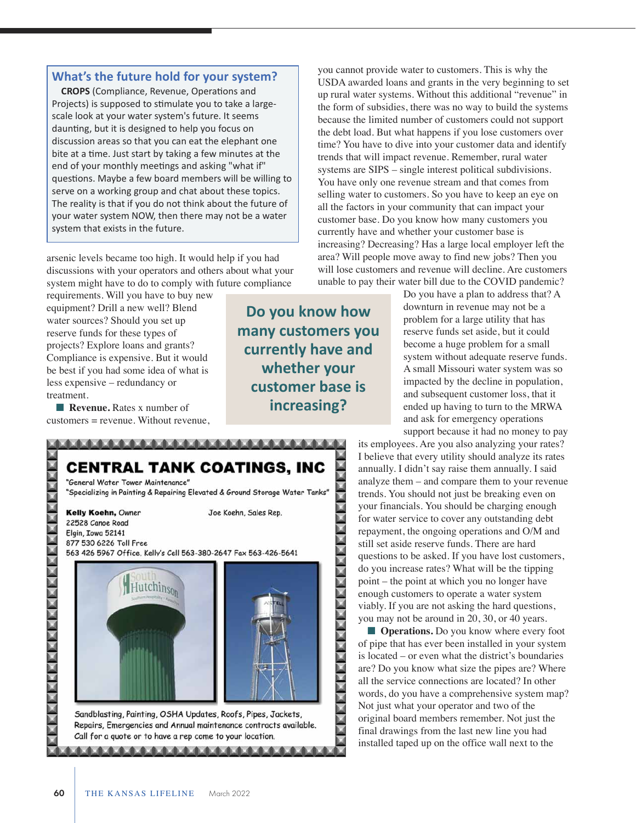### **What's the future hold for your system?**

**CROPS** (Compliance, Revenue, Operations and Projects) is supposed to stimulate you to take a largescale look at your water system's future. It seems daunting, but it is designed to help you focus on discussion areas so that you can eat the elephant one bite at a time. Just start by taking a few minutes at the end of your monthly meetings and asking "what if" questions. Maybe a few board members will be willing to serve on a working group and chat about these topics. The reality is that if you do not think about the future of your water system NOW, then there may not be a water system that exists in the future.

arsenic levels became too high. It would help if you had discussions with your operators and others about what your system might have to do to comply with future compliance

**CENTRAL TANK COATINGS, INC** 

"Specializing in Painting & Repairing Elevated & Ground Storage Water Tanks"

563 426 5967 Office, Kelly's Cell 563-380-2647 Fax 563-426-5641

Sandblasting, Painting, OSHA Updates, Roofs, Pipes, Jackets, Repairs, Emergencies and Annual maintenance contracts available.

Call for a quote or to have a rep come to your location.

Hutchin<sub>son</sub>

Joe Koehn, Sales Rep.

requirements. Will you have to buy new equipment? Drill a new well? Blend water sources? Should you set up reserve funds for these types of projects? Explore loans and grants? Compliance is expensive. But it would be best if you had some idea of what is less expensive – redundancy or treatment.

**Revenue.** Rates x number of customers = revenue. Without revenue,

"General Water Tower Maintenance"

Kelly Koehn, Owner

22528 Canoe Road Elgin, Iowa 52141 877 530 6226 Toll Free

**ANNAN KANAN ANNAN ANNAN** 

**Do you know how many customers you currently have and whether your customer base is increasing?**

**XXXXXXXXXXXXXXXXXXXXXXXXXXXXXXXXXX** 

you cannot provide water to customers. This is why the USDA awarded loans and grants in the very beginning to set up rural water systems. Without this additional "revenue" in the form of subsidies, there was no way to build the systems because the limited number of customers could not support the debt load. But what happens if you lose customers over time? You have to dive into your customer data and identify trends that will impact revenue. Remember, rural water systems are SIPS – single interest political subdivisions. You have only one revenue stream and that comes from selling water to customers. So you have to keep an eye on all the factors in your community that can impact your customer base. Do you know how many customers you currently have and whether your customer base is increasing? Decreasing? Has a large local employer left the area? Will people move away to find new jobs? Then you will lose customers and revenue will decline. Are customers unable to pay their water bill due to the COVID pandemic?

Do you have a plan to address that? A downturn in revenue may not be a problem for a large utility that has reserve funds set aside, but it could become a huge problem for a small system without adequate reserve funds. A small Missouri water system was so impacted by the decline in population, and subsequent customer loss, that it ended up having to turn to the MRWA and ask for emergency operations support because it had no money to pay

its employees. Are you also analyzing your rates? I believe that every utility should analyze its rates annually. I didn't say raise them annually. I said analyze them – and compare them to your revenue trends. You should not just be breaking even on your financials. You should be charging enough for water service to cover any outstanding debt repayment, the ongoing operations and O/M and still set aside reserve funds. There are hard questions to be asked. If you have lost customers, do you increase rates? What will be the tipping point – the point at which you no longer have enough customers to operate a water system viably. If you are not asking the hard questions, you may not be around in 20, 30, or 40 years.

**n Operations.** Do you know where every foot of pipe that has ever been installed in your system is located – or even what the district's boundaries are? Do you know what size the pipes are? Where all the service connections are located? In other words, do you have a comprehensive system map? Not just what your operator and two of the original board members remember. Not just the final drawings from the last new line you had installed taped up on the office wall next to the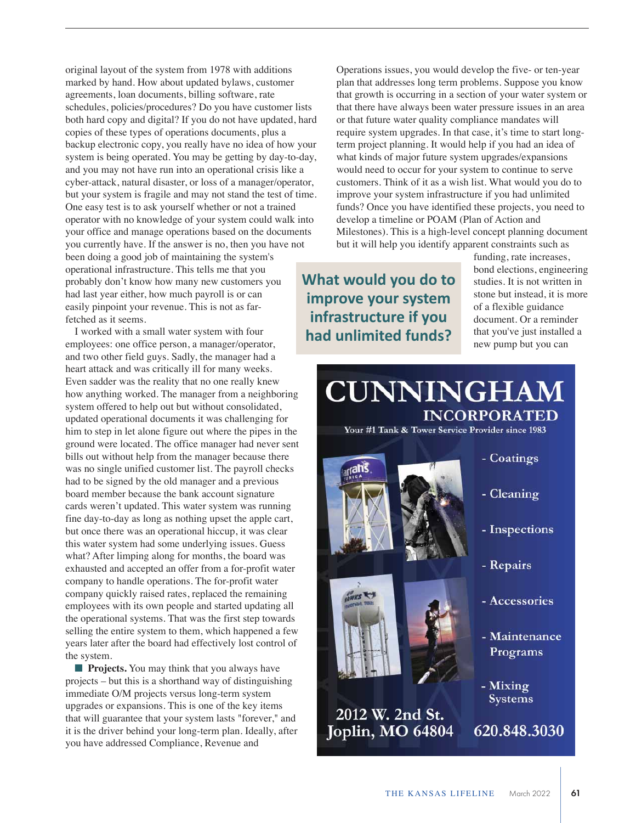original layout of the system from 1978 with additions marked by hand. How about updated bylaws, customer agreements, loan documents, billing software, rate schedules, policies/procedures? Do you have customer lists both hard copy and digital? If you do not have updated, hard copies of these types of operations documents, plus a backup electronic copy, you really have no idea of how your system is being operated. You may be getting by day-to-day, and you may not have run into an operational crisis like a cyber-attack, natural disaster, or loss of a manager/operator, but your system is fragile and may not stand the test of time. One easy test is to ask yourself whether or not a trained operator with no knowledge of your system could walk into your office and manage operations based on the documents you currently have. If the answer is no, then you have not been doing a good job of maintaining the system's operational infrastructure. This tells me that you probably don't know how many new customers you had last year either, how much payroll is or can easily pinpoint your revenue. This is not as farfetched as it seems.

I worked with a small water system with four employees: one office person, a manager/operator, and two other field guys. Sadly, the manager had a heart attack and was critically ill for many weeks. Even sadder was the reality that no one really knew how anything worked. The manager from a neighboring system offered to help out but without consolidated, updated operational documents it was challenging for him to step in let alone figure out where the pipes in the ground were located. The office manager had never sent bills out without help from the manager because there was no single unified customer list. The payroll checks had to be signed by the old manager and a previous board member because the bank account signature cards weren't updated. This water system was running fine day-to-day as long as nothing upset the apple cart, but once there was an operational hiccup, it was clear this water system had some underlying issues. Guess what? After limping along for months, the board was exhausted and accepted an offer from a for-profit water company to handle operations. The for-profit water company quickly raised rates, replaced the remaining employees with its own people and started updating all the operational systems. That was the first step towards selling the entire system to them, which happened a few years later after the board had effectively lost control of the system.

**Projects.** You may think that you always have projects – but this is a shorthand way of distinguishing immediate O/M projects versus long-term system upgrades or expansions. This is one of the key items that will guarantee that your system lasts "forever," and it is the driver behind your long-term plan. Ideally, after you have addressed Compliance, Revenue and

Operations issues, you would develop the five- or ten-year plan that addresses long term problems. Suppose you know that growth is occurring in a section of your water system or that there have always been water pressure issues in an area or that future water quality compliance mandates will require system upgrades. In that case, it's time to start longterm project planning. It would help if you had an idea of what kinds of major future system upgrades/expansions would need to occur for your system to continue to serve customers. Think of it as a wish list. What would you do to improve your system infrastructure if you had unlimited funds? Once you have identified these projects, you need to develop a timeline or POAM (Plan of Action and Milestones). This is a high-level concept planning document but it will help you identify apparent constraints such as

**What would you do to improve your system infrastructure if you had unlimited funds?**

funding, rate increases, bond elections, engineering studies. It is not written in stone but instead, it is more of a flexible guidance document. Or a reminder that you've just installed a new pump but you can

## **CUNNINGHAM INCORPORATED**

Your #1 Tank & Tower Service Provider since 1983



2012 W. 2nd St. Joplin, MO 64804

- Coatings
- Cleaning
- Inspections
- Repairs
- Accessories
- Maintenance Programs
- Mixing **Systems**

620.848.3030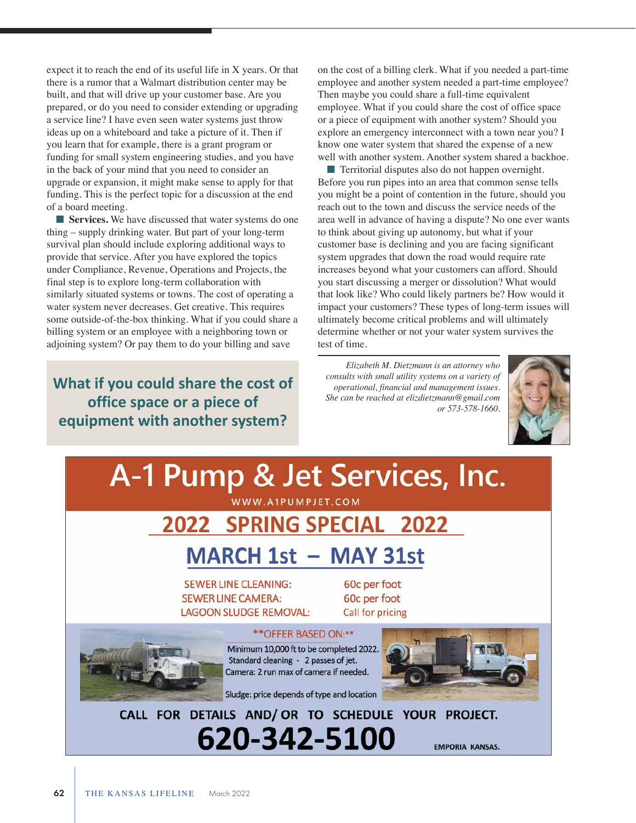expect it to reach the end of its useful life in X years. Or that there is a rumor that a Walmart distribution center may be built, and that will drive up your customer base. Are you prepared, or do you need to consider extending or upgrading a service line? I have even seen water systems just throw ideas up on a whiteboard and take a picture of it. Then if you learn that for example, there is a grant program or funding for small system engineering studies, and you have in the back of your mind that you need to consider an upgrade or expansion, it might make sense to apply for that funding. This is the perfect topic for a discussion at the end of a board meeting.

**n** Services. We have discussed that water systems do one thing – supply drinking water. But part of your long-term survival plan should include exploring additional ways to provide that service. After you have explored the topics under Compliance, Revenue, Operations and Projects, the final step is to explore long-term collaboration with similarly situated systems or towns. The cost of operating a water system never decreases. Get creative. This requires some outside-of-the-box thinking. What if you could share a billing system or an employee with a neighboring town or adjoining system? Or pay them to do your billing and save

### **What if you could share the cost of office space or a piece of equipment with another system?**

on the cost of a billing clerk. What if you needed a part-time employee and another system needed a part-time employee? Then maybe you could share a full-time equivalent employee. What if you could share the cost of office space or a piece of equipment with another system? Should you explore an emergency interconnect with a town near you? I know one water system that shared the expense of a new well with another system. Another system shared a backhoe.

 $\blacksquare$  Territorial disputes also do not happen overnight. Before you run pipes into an area that common sense tells you might be a point of contention in the future, should you reach out to the town and discuss the service needs of the area well in advance of having a dispute? No one ever wants to think about giving up autonomy, but what if your customer base is declining and you are facing significant system upgrades that down the road would require rate increases beyond what your customers can afford. Should you start discussing a merger or dissolution? What would that look like? Who could likely partners be? How would it impact your customers? These types of long-term issues will ultimately become critical problems and will ultimately determine whether or not your water system survives the test of time.

*Elizabeth M. Dietzmann is an attorney who consults with small utility systems on a variety of operational, financial and management issues. She can be reached at elizdietzmann@gmail.com or 573-578-1660.*